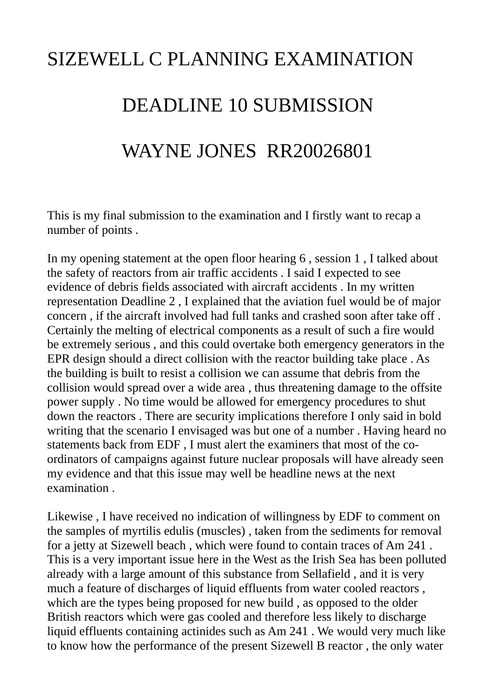## SIZEWELL C PLANNING EXAMINATION DEADLINE 10 SUBMISSION WAYNE JONES RR20026801

This is my final submission to the examination and I firstly want to recap a number of points .

In my opening statement at the open floor hearing 6 , session 1 , I talked about the safety of reactors from air traffic accidents . I said I expected to see evidence of debris fields associated with aircraft accidents . In my written representation Deadline 2 , I explained that the aviation fuel would be of major concern , if the aircraft involved had full tanks and crashed soon after take off . Certainly the melting of electrical components as a result of such a fire would be extremely serious , and this could overtake both emergency generators in the EPR design should a direct collision with the reactor building take place . As the building is built to resist a collision we can assume that debris from the collision would spread over a wide area , thus threatening damage to the offsite power supply . No time would be allowed for emergency procedures to shut down the reactors . There are security implications therefore I only said in bold writing that the scenario I envisaged was but one of a number . Having heard no statements back from EDF , I must alert the examiners that most of the coordinators of campaigns against future nuclear proposals will have already seen my evidence and that this issue may well be headline news at the next examination .

Likewise , I have received no indication of willingness by EDF to comment on the samples of myrtilis edulis (muscles) , taken from the sediments for removal for a jetty at Sizewell beach , which were found to contain traces of Am 241 . This is a very important issue here in the West as the Irish Sea has been polluted already with a large amount of this substance from Sellafield , and it is very much a feature of discharges of liquid effluents from water cooled reactors , which are the types being proposed for new build , as opposed to the older British reactors which were gas cooled and therefore less likely to discharge liquid effluents containing actinides such as Am 241 . We would very much like to know how the performance of the present Sizewell B reactor , the only water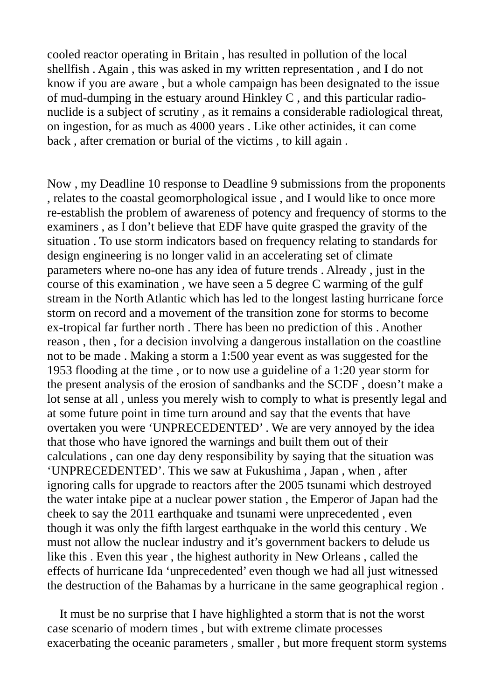cooled reactor operating in Britain , has resulted in pollution of the local shellfish . Again , this was asked in my written representation , and I do not know if you are aware , but a whole campaign has been designated to the issue of mud-dumping in the estuary around Hinkley C , and this particular radionuclide is a subject of scrutiny , as it remains a considerable radiological threat, on ingestion, for as much as 4000 years . Like other actinides, it can come back , after cremation or burial of the victims , to kill again .

Now , my Deadline 10 response to Deadline 9 submissions from the proponents , relates to the coastal geomorphological issue , and I would like to once more re-establish the problem of awareness of potency and frequency of storms to the examiners , as I don't believe that EDF have quite grasped the gravity of the situation . To use storm indicators based on frequency relating to standards for design engineering is no longer valid in an accelerating set of climate parameters where no-one has any idea of future trends . Already , just in the course of this examination , we have seen a 5 degree C warming of the gulf stream in the North Atlantic which has led to the longest lasting hurricane force storm on record and a movement of the transition zone for storms to become ex-tropical far further north . There has been no prediction of this . Another reason , then , for a decision involving a dangerous installation on the coastline not to be made . Making a storm a 1:500 year event as was suggested for the 1953 flooding at the time , or to now use a guideline of a 1:20 year storm for the present analysis of the erosion of sandbanks and the SCDF , doesn't make a lot sense at all , unless you merely wish to comply to what is presently legal and at some future point in time turn around and say that the events that have overtaken you were 'UNPRECEDENTED' . We are very annoyed by the idea that those who have ignored the warnings and built them out of their calculations , can one day deny responsibility by saying that the situation was 'UNPRECEDENTED'. This we saw at Fukushima , Japan , when , after ignoring calls for upgrade to reactors after the 2005 tsunami which destroyed the water intake pipe at a nuclear power station , the Emperor of Japan had the cheek to say the 2011 earthquake and tsunami were unprecedented , even though it was only the fifth largest earthquake in the world this century . We must not allow the nuclear industry and it's government backers to delude us like this . Even this year , the highest authority in New Orleans , called the effects of hurricane Ida 'unprecedented' even though we had all just witnessed the destruction of the Bahamas by a hurricane in the same geographical region .

 It must be no surprise that I have highlighted a storm that is not the worst case scenario of modern times , but with extreme climate processes exacerbating the oceanic parameters , smaller , but more frequent storm systems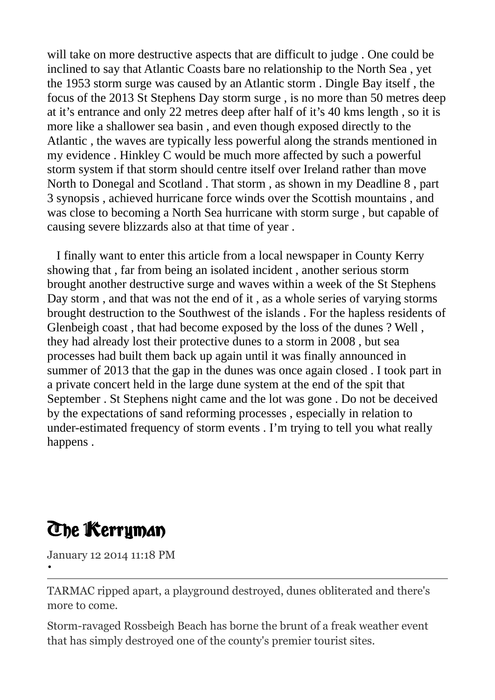will take on more destructive aspects that are difficult to judge . One could be inclined to say that Atlantic Coasts bare no relationship to the North Sea , yet the 1953 storm surge was caused by an Atlantic storm . Dingle Bay itself , the focus of the 2013 St Stephens Day storm surge , is no more than 50 metres deep at it's entrance and only 22 metres deep after half of it's 40 kms length , so it is more like a shallower sea basin , and even though exposed directly to the Atlantic , the waves are typically less powerful along the strands mentioned in my evidence . Hinkley C would be much more affected by such a powerful storm system if that storm should centre itself over Ireland rather than move North to Donegal and Scotland . That storm , as shown in my Deadline 8 , part 3 synopsis , achieved hurricane force winds over the Scottish mountains , and was close to becoming a North Sea hurricane with storm surge , but capable of causing severe blizzards also at that time of year .

 I finally want to enter this article from a local newspaper in County Kerry showing that , far from being an isolated incident , another serious storm brought another destructive surge and waves within a week of the St Stephens Day storm , and that was not the end of it , as a whole series of varying storms brought destruction to the Southwest of the islands . For the hapless residents of Glenbeigh coast , that had become exposed by the loss of the dunes ? Well , they had already lost their protective dunes to a storm in 2008 , but sea processes had built them back up again until it was finally announced in summer of 2013 that the gap in the dunes was once again closed . I took part in a private concert held in the large dune system at the end of the spit that September . St Stephens night came and the lot was gone . Do not be deceived by the expectations of sand reforming processes , especially in relation to under-estimated frequency of storm events . I'm trying to tell you what really happens .

## **The Kerryman**

January 12 2014 11:18 PM

•

TARMAC ripped apart, a playground destroyed, dunes obliterated and there's more to come.

Storm-ravaged Rossbeigh Beach has borne the brunt of a freak weather event that has simply destroyed one of the county's premier tourist sites.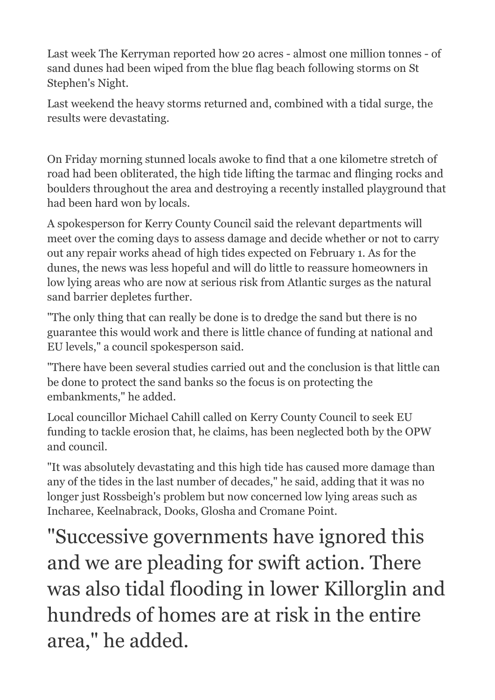Last week The Kerryman reported how 20 acres - almost one million tonnes - of sand dunes had been wiped from the blue flag beach following storms on St Stephen's Night.

Last weekend the heavy storms returned and, combined with a tidal surge, the results were devastating.

On Friday morning stunned locals awoke to find that a one kilometre stretch of road had been obliterated, the high tide lifting the tarmac and flinging rocks and boulders throughout the area and destroying a recently installed playground that had been hard won by locals.

A spokesperson for Kerry County Council said the relevant departments will meet over the coming days to assess damage and decide whether or not to carry out any repair works ahead of high tides expected on February 1. As for the dunes, the news was less hopeful and will do little to reassure homeowners in low lying areas who are now at serious risk from Atlantic surges as the natural sand barrier depletes further.

"The only thing that can really be done is to dredge the sand but there is no guarantee this would work and there is little chance of funding at national and EU levels," a council spokesperson said.

"There have been several studies carried out and the conclusion is that little can be done to protect the sand banks so the focus is on protecting the embankments," he added.

Local councillor Michael Cahill called on Kerry County Council to seek EU funding to tackle erosion that, he claims, has been neglected both by the OPW and council.

"It was absolutely devastating and this high tide has caused more damage than any of the tides in the last number of decades," he said, adding that it was no longer just Rossbeigh's problem but now concerned low lying areas such as Incharee, Keelnabrack, Dooks, Glosha and Cromane Point.

"Successive governments have ignored this and we are pleading for swift action. There was also tidal flooding in lower Killorglin and hundreds of homes are at risk in the entire area," he added.